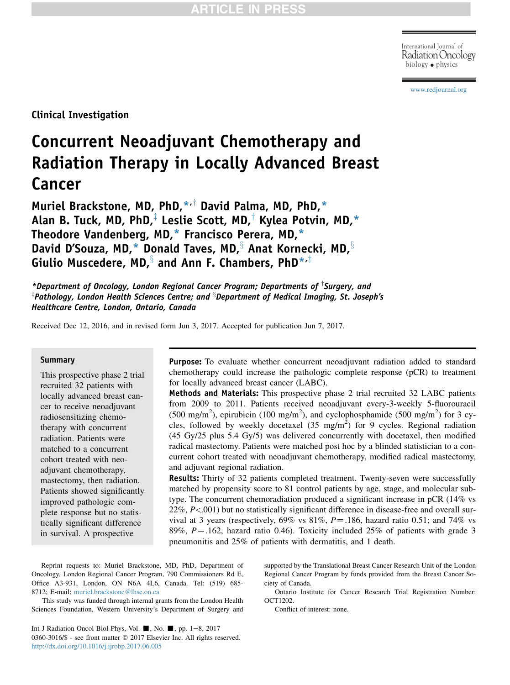Radiation Oncology biology physics

[www.redjournal.org](http://www.redjournal.org)

Clinical Investigation

# Concurrent Neoadjuvant Chemotherapy and Radiation Therapy in Locally Advanced Breast Cancer

Muriel Brackstone, MD, PhD, $*$ , $\dagger$  David Palma, MD, PhD, $*$ Alan B. Tuck, MD, PhD, $^{\ddagger}$  Leslie Scott, MD,<sup>†</sup> Kylea Potvin, MD,\* Theodore Vandenberg, MD,\* Francisco Perera, MD,\* David D'Souza, MD,\* Donald Taves, MD, $\frac{8}{3}$  Anat Kornecki, MD, $\frac{8}{3}$ Giulio Muscedere, MD, $\frac{8}{3}$  and Ann F. Chambers, PhD\* $\cdot^{\ddagger}$ 

\*Department of Oncology, London Regional Cancer Program; Departments of  $\bar{ }$  Surgery, and  $^{\text{\tiny{\textregistered}}}$ Pathology, London Health Sciences Centre; and  $^{\text{\tiny{\textbackslash}}}$ Department of Medical Imaging, St. Joseph's Healthcare Centre, London, Ontario, Canada

Received Dec 12, 2016, and in revised form Jun 3, 2017. Accepted for publication Jun 7, 2017.

#### Summary

This prospective phase 2 trial recruited 32 patients with locally advanced breast cancer to receive neoadjuvant radiosensitizing chemotherapy with concurrent radiation. Patients were matched to a concurrent cohort treated with neoadjuvant chemotherapy, mastectomy, then radiation. Patients showed significantly improved pathologic complete response but no statistically significant difference in survival. A prospective

Purpose: To evaluate whether concurrent neoadjuvant radiation added to standard chemotherapy could increase the pathologic complete response (pCR) to treatment for locally advanced breast cancer (LABC).

Methods and Materials: This prospective phase 2 trial recruited 32 LABC patients from 2009 to 2011. Patients received neoadjuvant every-3-weekly 5-fluorouracil (500 mg/m<sup>2</sup>), epirubicin (100 mg/m<sup>2</sup>), and cyclophosphamide (500 mg/m<sup>2</sup>) for 3 cycles, followed by weekly docetaxel  $(35 \text{ mg/m}^2)$  for 9 cycles. Regional radiation (45 Gy/25 plus 5.4 Gy/5) was delivered concurrently with docetaxel, then modified radical mastectomy. Patients were matched post hoc by a blinded statistician to a concurrent cohort treated with neoadjuvant chemotherapy, modified radical mastectomy, and adjuvant regional radiation.

Results: Thirty of 32 patients completed treatment. Twenty-seven were successfully matched by propensity score to 81 control patients by age, stage, and molecular subtype. The concurrent chemoradiation produced a significant increase in pCR (14% vs 22%, P<.001) but no statistically significant difference in disease-free and overall survival at 3 years (respectively, 69% vs  $81\%$ ,  $P = .186$ , hazard ratio 0.51; and 74% vs 89%,  $P = .162$ , hazard ratio 0.46). Toxicity included 25% of patients with grade 3 pneumonitis and 25% of patients with dermatitis, and 1 death.

Reprint requests to: Muriel Brackstone, MD, PhD, Department of Oncology, London Regional Cancer Program, 790 Commissioners Rd E, Office A3-931, London, ON N6A 4L6, Canada. Tel: (519) 685- 8712; E-mail: [muriel.brackstone@lhsc.on.ca](mailto:muriel.brackstone@lhsc.on.ca)

This study was funded through internal grants from the London Health Sciences Foundation, Western University's Department of Surgery and

Int J Radiation Oncol Biol Phys, Vol.  $\blacksquare$ , No.  $\blacksquare$ , pp. 1-8, 2017 0360-3016/\$ - see front matter  $\textcircled{2017}$  Elsevier Inc. All rights reserved. <http://dx.doi.org/10.1016/j.ijrobp.2017.06.005>

supported by the Translational Breast Cancer Research Unit of the London Regional Cancer Program by funds provided from the Breast Cancer Society of Canada.

Ontario Institute for Cancer Research Trial Registration Number: OCT1202.

Conflict of interest: none.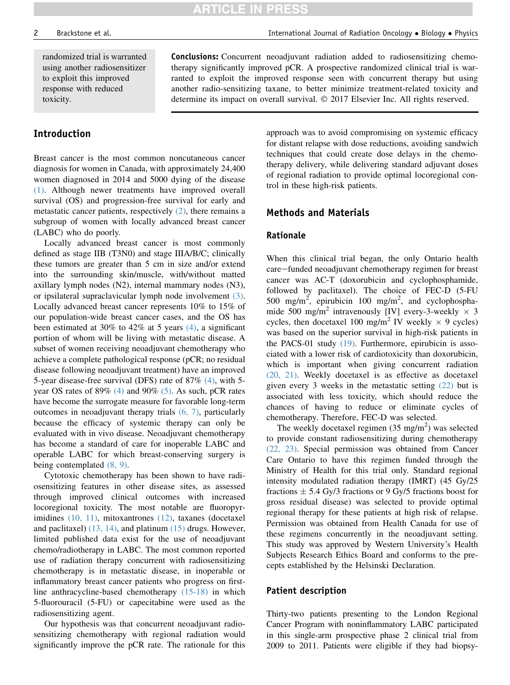randomized trial is warranted using another radiosensitizer to exploit this improved response with reduced toxicity.

### Introduction

Breast cancer is the most common noncutaneous cancer diagnosis for women in Canada, with approximately 24,400 women diagnosed in 2014 and 5000 dying of the disease [\(1\).](#page-6-0) Although newer treatments have improved overall survival (OS) and progression-free survival for early and metastatic cancer patients, respectively [\(2\),](#page-6-0) there remains a subgroup of women with locally advanced breast cancer (LABC) who do poorly.

Locally advanced breast cancer is most commonly defined as stage IIB (T3N0) and stage IIIA/B/C; clinically these tumors are greater than 5 cm in size and/or extend into the surrounding skin/muscle, with/without matted axillary lymph nodes (N2), internal mammary nodes (N3), or ipsilateral supraclavicular lymph node involvement [\(3\).](#page-6-0) Locally advanced breast cancer represents 10% to 15% of our population-wide breast cancer cases, and the OS has been estimated at 30% to 42% at 5 years [\(4\)](#page-6-0), a significant portion of whom will be living with metastatic disease. A subset of women receiving neoadjuvant chemotherapy who achieve a complete pathological response (pCR; no residual disease following neoadjuvant treatment) have an improved 5-year disease-free survival (DFS) rate of 87% [\(4\),](#page-6-0) with 5 year OS rates of  $89\%$  [\(4\)](#page-6-0) and  $90\%$  [\(5\).](#page-6-0) As such, pCR rates have become the surrogate measure for favorable long-term outcomes in neoadjuvant therapy trials [\(6, 7\),](#page-6-0) particularly because the efficacy of systemic therapy can only be evaluated with in vivo disease. Neoadjuvant chemotherapy has become a standard of care for inoperable LABC and operable LABC for which breast-conserving surgery is being contemplated [\(8, 9\).](#page-6-0)

Cytotoxic chemotherapy has been shown to have radiosensitizing features in other disease sites, as assessed through improved clinical outcomes with increased locoregional toxicity. The most notable are fluoropyr-imidines [\(10, 11\)](#page-6-0), mitoxantrones [\(12\),](#page-6-0) taxanes (docetaxel and paclitaxel) [\(13, 14\),](#page-6-0) and platinum [\(15\)](#page-6-0) drugs. However, limited published data exist for the use of neoadjuvant chemo/radiotherapy in LABC. The most common reported use of radiation therapy concurrent with radiosensitizing chemotherapy is in metastatic disease, in inoperable or inflammatory breast cancer patients who progress on firstline anthracycline-based chemotherapy [\(15-18\)](#page-6-0) in which 5-fluorouracil (5-FU) or capecitabine were used as the radiosensitizing agent.

Our hypothesis was that concurrent neoadjuvant radiosensitizing chemotherapy with regional radiation would significantly improve the pCR rate. The rationale for this

Conclusions: Concurrent neoadjuvant radiation added to radiosensitizing chemotherapy significantly improved pCR. A prospective randomized clinical trial is warranted to exploit the improved response seen with concurrent therapy but using another radio-sensitizing taxane, to better minimize treatment-related toxicity and determine its impact on overall survival.  $\odot$  2017 Elsevier Inc. All rights reserved.

> approach was to avoid compromising on systemic efficacy for distant relapse with dose reductions, avoiding sandwich techniques that could create dose delays in the chemotherapy delivery, while delivering standard adjuvant doses of regional radiation to provide optimal locoregional control in these high-risk patients.

### Methods and Materials

#### Rationale

**ARTICLE IN PRESS** 

When this clinical trial began, the only Ontario health care–funded neoadjuvant chemotherapy regimen for breast cancer was AC-T (doxorubicin and cyclophosphamide, followed by paclitaxel). The choice of FEC-D (5-FU 500 mg/m<sup>2</sup>, epirubicin 100 mg/m<sup>2</sup>, and cyclophosphamide 500 mg/m<sup>2</sup> intravenously [IV] every-3-weekly  $\times$  3 cycles, then docetaxel 100 mg/m<sup>2</sup> IV weekly  $\times$  9 cycles) was based on the superior survival in high-risk patients in the PACS-01 study [\(19\)](#page-6-0). Furthermore, epirubicin is associated with a lower risk of cardiotoxicity than doxorubicin, which is important when giving concurrent radiation [\(20, 21\).](#page-6-0) Weekly docetaxel is as effective as docetaxel given every 3 weeks in the metastatic setting [\(22\)](#page-6-0) but is associated with less toxicity, which should reduce the chances of having to reduce or eliminate cycles of chemotherapy. Therefore, FEC-D was selected.

The weekly docetaxel regimen  $(35 \text{ mg/m}^2)$  was selected to provide constant radiosensitizing during chemotherapy [\(22, 23\)](#page-6-0). Special permission was obtained from Cancer Care Ontario to have this regimen funded through the Ministry of Health for this trial only. Standard regional intensity modulated radiation therapy (IMRT) (45 Gy/25 fractions  $\pm$  5.4 Gy/3 fractions or 9 Gy/5 fractions boost for gross residual disease) was selected to provide optimal regional therapy for these patients at high risk of relapse. Permission was obtained from Health Canada for use of these regimens concurrently in the neoadjuvant setting. This study was approved by Western University's Health Subjects Research Ethics Board and conforms to the precepts established by the Helsinski Declaration.

#### Patient description

Thirty-two patients presenting to the London Regional Cancer Program with noninflammatory LABC participated in this single-arm prospective phase 2 clinical trial from 2009 to 2011. Patients were eligible if they had biopsy-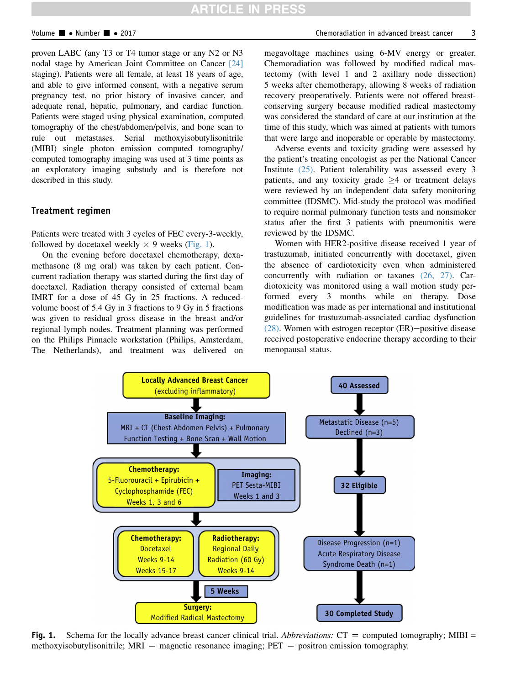proven LABC (any T3 or T4 tumor stage or any N2 or N3 nodal stage by American Joint Committee on Cancer [\[24\]](#page-6-0) staging). Patients were all female, at least 18 years of age, and able to give informed consent, with a negative serum pregnancy test, no prior history of invasive cancer, and adequate renal, hepatic, pulmonary, and cardiac function. Patients were staged using physical examination, computed tomography of the chest/abdomen/pelvis, and bone scan to rule out metastases. Serial methoxyisobutylisonitrile (MIBI) single photon emission computed tomography/ computed tomography imaging was used at 3 time points as an exploratory imaging substudy and is therefore not described in this study.

#### Treatment regimen

Patients were treated with 3 cycles of FEC every-3-weekly, followed by docetaxel weekly  $\times$  9 weeks (Fig. 1).

On the evening before docetaxel chemotherapy, dexamethasone (8 mg oral) was taken by each patient. Concurrent radiation therapy was started during the first day of docetaxel. Radiation therapy consisted of external beam IMRT for a dose of 45 Gy in 25 fractions. A reducedvolume boost of 5.4 Gy in 3 fractions to 9 Gy in 5 fractions was given to residual gross disease in the breast and/or regional lymph nodes. Treatment planning was performed on the Philips Pinnacle workstation (Philips, Amsterdam, The Netherlands), and treatment was delivered on megavoltage machines using 6-MV energy or greater. Chemoradiation was followed by modified radical mastectomy (with level 1 and 2 axillary node dissection) 5 weeks after chemotherapy, allowing 8 weeks of radiation recovery preoperatively. Patients were not offered breastconserving surgery because modified radical mastectomy was considered the standard of care at our institution at the time of this study, which was aimed at patients with tumors that were large and inoperable or operable by mastectomy.

Adverse events and toxicity grading were assessed by the patient's treating oncologist as per the National Cancer Institute [\(25\).](#page-6-0) Patient tolerability was assessed every 3 patients, and any toxicity grade  $\geq 4$  or treatment delays were reviewed by an independent data safety monitoring committee (IDSMC). Mid-study the protocol was modified to require normal pulmonary function tests and nonsmoker status after the first 3 patients with pneumonitis were reviewed by the IDSMC.

Women with HER2-positive disease received 1 year of trastuzumab, initiated concurrently with docetaxel, given the absence of cardiotoxicity even when administered concurrently with radiation or taxanes [\(26, 27\).](#page-6-0) Cardiotoxicity was monitored using a wall motion study performed every 3 months while on therapy. Dose modification was made as per international and institutional guidelines for trastuzumab-associated cardiac dysfunction  $(28)$ . Women with estrogen receptor  $(ER)$ -positive disease received postoperative endocrine therapy according to their menopausal status.



Fig. 1. Schema for the locally advance breast cancer clinical trial. Abbreviations:  $CT =$  computed tomography; MIBI = methoxyisobutylisonitrile;  $MRI$  = magnetic resonance imaging;  $PET$  = positron emission tomography.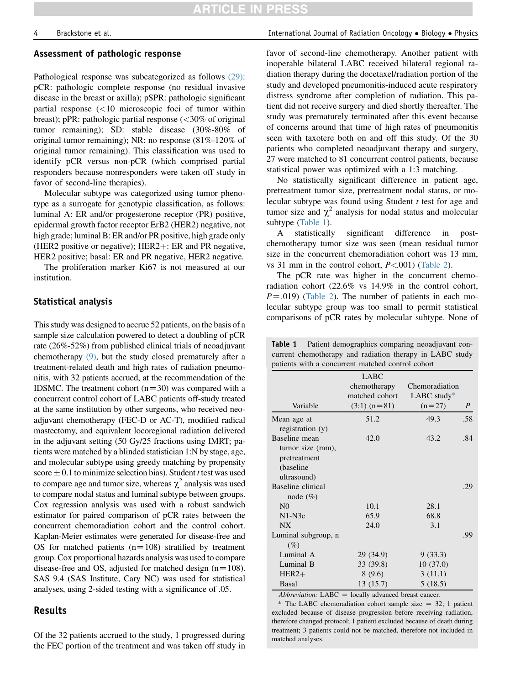#### <span id="page-3-0"></span>Assessment of pathologic response

Pathological response was subcategorized as follows [\(29\)](#page-6-0): pCR: pathologic complete response (no residual invasive disease in the breast or axilla); pSPR: pathologic significant partial response (<10 microscopic foci of tumor within breast); pPR: pathologic partial response (<30% of original tumor remaining); SD: stable disease (30%-80% of original tumor remaining); NR: no response (81%-120% of original tumor remaining). This classification was used to identify pCR versus non-pCR (which comprised partial responders because nonresponders were taken off study in favor of second-line therapies).

Molecular subtype was categorized using tumor phenotype as a surrogate for genotypic classification, as follows: luminal A: ER and/or progesterone receptor (PR) positive, epidermal growth factor receptor ErB2 (HER2) negative, not high grade; luminal B: ER and/or PR positive, high grade only (HER2 positive or negative);  $HER2 + : ER$  and PR negative, HER2 positive; basal: ER and PR negative, HER2 negative.

The proliferation marker Ki67 is not measured at our institution.

#### Statistical analysis

This study was designed to accrue 52 patients, on the basis of a sample size calculation powered to detect a doubling of pCR rate (26%-52%) from published clinical trials of neoadjuvant chemotherapy [\(9\),](#page-6-0) but the study closed prematurely after a treatment-related death and high rates of radiation pneumonitis, with 32 patients accrued, at the recommendation of the IDSMC. The treatment cohort  $(n=30)$  was compared with a concurrent control cohort of LABC patients off-study treated at the same institution by other surgeons, who received neoadjuvant chemotherapy (FEC-D or AC-T), modified radical mastectomy, and equivalent locoregional radiation delivered in the adjuvant setting (50 Gy/25 fractions using IMRT; patients were matched by a blinded statistician 1:N by stage, age, and molecular subtype using greedy matching by propensity score  $\pm$  0.1 to minimize selection bias). Student t test was used to compare age and tumor size, whereas  $\chi^2$  analysis was used to compare nodal status and luminal subtype between groups. Cox regression analysis was used with a robust sandwich estimator for paired comparison of pCR rates between the concurrent chemoradiation cohort and the control cohort. Kaplan-Meier estimates were generated for disease-free and OS for matched patients  $(n=108)$  stratified by treatment group. Cox proportional hazards analysis was used to compare disease-free and OS, adjusted for matched design  $(n=108)$ . SAS 9.4 (SAS Institute, Cary NC) was used for statistical analyses, using 2-sided testing with a significance of .05.

#### Results

Of the 32 patients accrued to the study, 1 progressed during the FEC portion of the treatment and was taken off study in favor of second-line chemotherapy. Another patient with inoperable bilateral LABC received bilateral regional radiation therapy during the docetaxel/radiation portion of the study and developed pneumonitis-induced acute respiratory distress syndrome after completion of radiation. This patient did not receive surgery and died shortly thereafter. The study was prematurely terminated after this event because of concerns around that time of high rates of pneumonitis seen with taxotere both on and off this study. Of the 30 patients who completed neoadjuvant therapy and surgery, 27 were matched to 81 concurrent control patients, because statistical power was optimized with a 1:3 matching.

No statistically significant difference in patient age, pretreatment tumor size, pretreatment nodal status, or molecular subtype was found using Student  $t$  test for age and tumor size and  $\chi^2$  analysis for nodal status and molecular subtype (Table 1).

A statistically significant difference in postchemotherapy tumor size was seen (mean residual tumor size in the concurrent chemoradiation cohort was 13 mm, vs 31 mm in the control cohort,  $P < 001$ ) ([Table 2](#page-4-0)).

The pCR rate was higher in the concurrent chemoradiation cohort (22.6% vs 14.9% in the control cohort,  $P = .019$ ) ([Table 2](#page-4-0)). The number of patients in each molecular subtype group was too small to permit statistical comparisons of pCR rates by molecular subtype. None of

Table 1 Patient demographics comparing neoadjuvant concurrent chemotherapy and radiation therapy in LABC study patients with a concurrent matched control cohort

|                     | <b>LABC</b><br>chemotherapy | Chemoradiation |     |
|---------------------|-----------------------------|----------------|-----|
|                     | matched cohort              | LABC study $*$ |     |
| Variable            | $(3:1)$ (n=81)              | $(n=27)$       | P   |
| Mean age at         | 51.2                        | 49.3           | .58 |
| registration $(y)$  |                             |                |     |
| Baseline mean       | 42.0                        | 43.2           | .84 |
| tumor size (mm),    |                             |                |     |
| pretreatment        |                             |                |     |
| (baseline)          |                             |                |     |
| ultrasound)         |                             |                |     |
| Baseline clinical   |                             |                | .29 |
| node $(\% )$        |                             |                |     |
| N <sub>0</sub>      | 10.1                        | 28.1           |     |
| $N1-N3c$            | 65.9                        | 68.8           |     |
| <b>NX</b>           | 24.0                        | 3.1            |     |
| Luminal subgroup, n |                             |                | .99 |
| $(\%)$              |                             |                |     |
| Luminal A           | 29 (34.9)                   | 9 (33.3)       |     |
| Luminal B           | 33 (39.8)                   | 10(37.0)       |     |
| $HER2+$             | 8(9.6)                      | 3(11.1)        |     |
| Basal               | 13(15.7)                    | 5(18.5)        |     |

 $Abbreviation: LABC = locally advanced breast cancer.$ 

\* The LABC chemoradiation cohort sample size  $= 32$ ; 1 patient excluded because of disease progression before receiving radiation, therefore changed protocol; 1 patient excluded because of death during treatment; 3 patients could not be matched, therefore not included in matched analyses.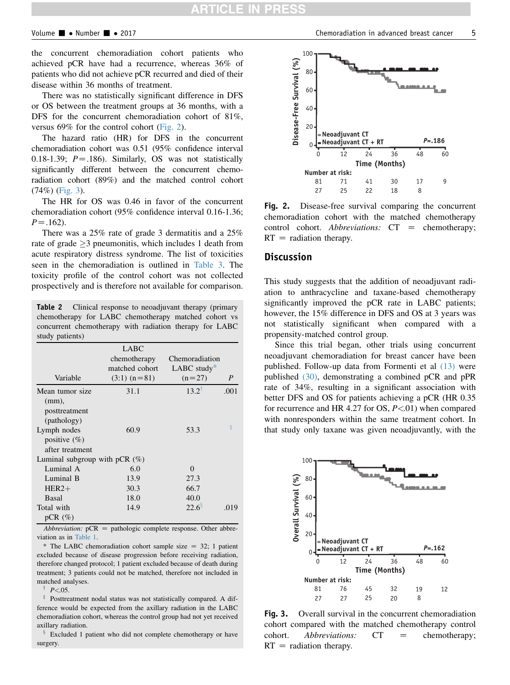<span id="page-4-0"></span>the concurrent chemoradiation cohort patients who achieved pCR have had a recurrence, whereas 36% of patients who did not achieve pCR recurred and died of their disease within 36 months of treatment.

There was no statistically significant difference in DFS or OS between the treatment groups at 36 months, with a DFS for the concurrent chemoradiation cohort of 81%, versus 69% for the control cohort (Fig. 2).

The hazard ratio (HR) for DFS in the concurrent chemoradiation cohort was 0.51 (95% confidence interval 0.18-1.39;  $P = .186$ ). Similarly, OS was not statistically significantly different between the concurrent chemoradiation cohort (89%) and the matched control cohort (74%) (Fig. 3).

The HR for OS was 0.46 in favor of the concurrent chemoradiation cohort (95% confidence interval 0.16-1.36;  $P = .162$ .

There was a 25% rate of grade 3 dermatitis and a 25% rate of grade  $\geq$ 3 pneumonitis, which includes 1 death from acute respiratory distress syndrome. The list of toxicities seen in the chemoradiation is outlined in [Table 3.](#page-5-0) The toxicity profile of the control cohort was not collected prospectively and is therefore not available for comparison.

Table 2 Clinical response to neoadjuvant therapy (primary chemotherapy for LABC chemotherapy matched cohort vs concurrent chemotherapy with radiation therapy for LABC study patients)

| Variable                                                    | <b>LABC</b><br>chemotherapy<br>matched cohort<br>$(3:1)$ (n=81) | Chemoradiation<br>LABC study $*$<br>$(n=27)$ | $\boldsymbol{P}$ |
|-------------------------------------------------------------|-----------------------------------------------------------------|----------------------------------------------|------------------|
| Mean tumor size<br>$(mm)$ ,<br>posttreatment<br>(pathology) | 31.1                                                            | $13.2^{\dagger}$                             | .001             |
| Lymph nodes<br>positive $(\%)$<br>after treatment           | 60.9                                                            | 53.3                                         | ţ                |
| Luminal subgroup with pCR $(\%)$                            |                                                                 |                                              |                  |
| Luminal A                                                   | 6.0                                                             | $\Omega$                                     |                  |
| Luminal B                                                   | 13.9                                                            | 27.3                                         |                  |
| $HER2+$                                                     | 30.3                                                            | 66.7                                         |                  |
| Basal                                                       | 18.0                                                            | 40.0                                         |                  |
| Total with<br>$pCR(\%)$                                     | 14.9                                                            | $22.6^{\circ}$                               | .019             |

Abbreviation:  $pCR =$  pathologic complete response. Other abbreviation as in [Table 1.](#page-3-0)

\* The LABC chemoradiation cohort sample size  $= 32$ ; 1 patient excluded because of disease progression before receiving radiation, therefore changed protocol; 1 patient excluded because of death during treatment; 3 patients could not be matched, therefore not included in matched analyses.

 $P < 0.05$ .

Posttreatment nodal status was not statistically compared. A difference would be expected from the axillary radiation in the LABC chemoradiation cohort, whereas the control group had not yet received axillary radiation.

<sup>§</sup> Excluded 1 patient who did not complete chemotherapy or have surgery.



Fig. 2. Disease-free survival comparing the concurrent chemoradiation cohort with the matched chemotherapy control cohort. Abbreviations:  $CT =$  chemotherapy;  $RT =$  radiation therapy.

#### Discussion

This study suggests that the addition of neoadjuvant radiation to anthracycline and taxane-based chemotherapy significantly improved the pCR rate in LABC patients; however, the 15% difference in DFS and OS at 3 years was not statistically significant when compared with a propensity-matched control group.

Since this trial began, other trials using concurrent neoadjuvant chemoradiation for breast cancer have been published. Follow-up data from Formenti et al [\(13\)](#page-6-0) were published [\(30\),](#page-6-0) demonstrating a combined pCR and pPR rate of 34%, resulting in a significant association with better DFS and OS for patients achieving a pCR (HR 0.35 for recurrence and HR 4.27 for OS,  $P \le 01$ ) when compared with nonresponders within the same treatment cohort. In that study only taxane was given neoadjuvantly, with the



Fig. 3. Overall survival in the concurrent chemoradiation cohort compared with the matched chemotherapy control cohort. Abbreviations:  $CT =$  chemotherapy;  $RT =$  radiation therapy.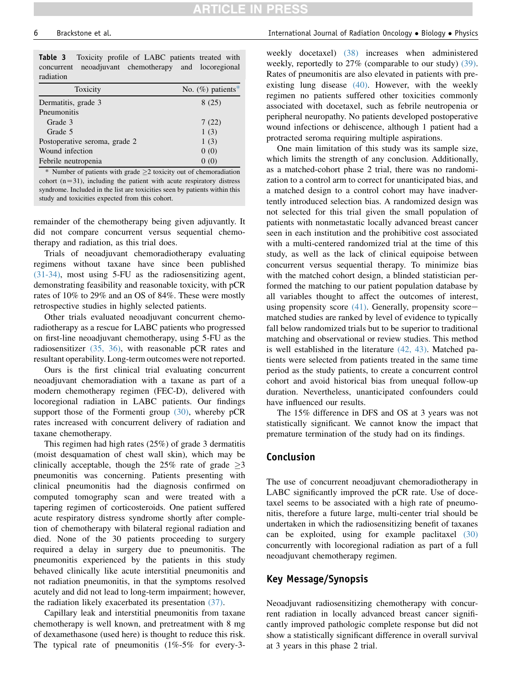Table 3 Toxicity profile of LABC patients treated with concurrent neoadjuvant chemotherapy and locoregional radiation

| Toxicity                      | No. $(\%)$ patients* |
|-------------------------------|----------------------|
| Dermatitis, grade 3           | 8(25)                |
| Pneumonitis                   |                      |
| Grade 3                       | 7(22)                |
| Grade 5                       | 1(3)                 |
| Postoperative seroma, grade 2 | 1(3)                 |
| Wound infection               | 0(0)                 |
| Febrile neutropenia           | 0(0)                 |
|                               |                      |

 $*$  Number of patients with grade  $\geq$  2 toxicity out of chemoradiation cohort  $(n=31)$ , including the patient with acute respiratory distress syndrome. Included in the list are toxicities seen by patients within this study and toxicities expected from this cohort.

remainder of the chemotherapy being given adjuvantly. It did not compare concurrent versus sequential chemotherapy and radiation, as this trial does.

Trials of neoadjuvant chemoradiotherapy evaluating regimens without taxane have since been published [\(31-34\)](#page-6-0), most using 5-FU as the radiosensitizing agent, demonstrating feasibility and reasonable toxicity, with pCR rates of 10% to 29% and an OS of 84%. These were mostly retrospective studies in highly selected patients.

Other trials evaluated neoadjuvant concurrent chemoradiotherapy as a rescue for LABC patients who progressed on first-line neoadjuvant chemotherapy, using 5-FU as the radiosensitizer [\(35, 36\)](#page-6-0), with reasonable pCR rates and resultant operability. Long-term outcomes were not reported.

Ours is the first clinical trial evaluating concurrent neoadjuvant chemoradiation with a taxane as part of a modern chemotherapy regimen (FEC-D), delivered with locoregional radiation in LABC patients. Our findings support those of the Formenti group [\(30\)](#page-6-0), whereby pCR rates increased with concurrent delivery of radiation and taxane chemotherapy.

This regimen had high rates (25%) of grade 3 dermatitis (moist desquamation of chest wall skin), which may be clinically acceptable, though the  $25\%$  rate of grade  $>3$ pneumonitis was concerning. Patients presenting with clinical pneumonitis had the diagnosis confirmed on computed tomography scan and were treated with a tapering regimen of corticosteroids. One patient suffered acute respiratory distress syndrome shortly after completion of chemotherapy with bilateral regional radiation and died. None of the 30 patients proceeding to surgery required a delay in surgery due to pneumonitis. The pneumonitis experienced by the patients in this study behaved clinically like acute interstitial pneumonitis and not radiation pneumonitis, in that the symptoms resolved acutely and did not lead to long-term impairment; however, the radiation likely exacerbated its presentation [\(37\).](#page-6-0)

Capillary leak and interstitial pneumonitis from taxane chemotherapy is well known, and pretreatment with 8 mg of dexamethasone (used here) is thought to reduce this risk. The typical rate of pneumonitis (1%-5% for every-3-

#### <span id="page-5-0"></span>6 Brackstone et al. International Journal of Radiation Oncology Biology Physics

weekly docetaxel) [\(38\)](#page-7-0) increases when administered weekly, reportedly to 27% (comparable to our study) [\(39\).](#page-7-0) Rates of pneumonitis are also elevated in patients with preexisting lung disease [\(40\)](#page-7-0). However, with the weekly regimen no patients suffered other toxicities commonly associated with docetaxel, such as febrile neutropenia or peripheral neuropathy. No patients developed postoperative wound infections or dehiscence, although 1 patient had a protracted seroma requiring multiple aspirations.

One main limitation of this study was its sample size, which limits the strength of any conclusion. Additionally, as a matched-cohort phase 2 trial, there was no randomization to a control arm to correct for unanticipated bias, and a matched design to a control cohort may have inadvertently introduced selection bias. A randomized design was not selected for this trial given the small population of patients with nonmetastatic locally advanced breast cancer seen in each institution and the prohibitive cost associated with a multi-centered randomized trial at the time of this study, as well as the lack of clinical equipoise between concurrent versus sequential therapy. To minimize bias with the matched cohort design, a blinded statistician performed the matching to our patient population database by all variables thought to affect the outcomes of interest, using propensity score  $(41)$ . Generally, propensity scorematched studies are ranked by level of evidence to typically fall below randomized trials but to be superior to traditional matching and observational or review studies. This method is well established in the literature [\(42, 43\)](#page-7-0). Matched patients were selected from patients treated in the same time period as the study patients, to create a concurrent control cohort and avoid historical bias from unequal follow-up duration. Nevertheless, unanticipated confounders could have influenced our results.

The 15% difference in DFS and OS at 3 years was not statistically significant. We cannot know the impact that premature termination of the study had on its findings.

### Conclusion

The use of concurrent neoadjuvant chemoradiotherapy in LABC significantly improved the pCR rate. Use of docetaxel seems to be associated with a high rate of pneumonitis, therefore a future large, multi-center trial should be undertaken in which the radiosensitizing benefit of taxanes can be exploited, using for example paclitaxel [\(30\)](#page-6-0) concurrently with locoregional radiation as part of a full neoadjuvant chemotherapy regimen.

#### Key Message/Synopsis

Neoadjuvant radiosensitizing chemotherapy with concurrent radiation in locally advanced breast cancer significantly improved pathologic complete response but did not show a statistically significant difference in overall survival at 3 years in this phase 2 trial.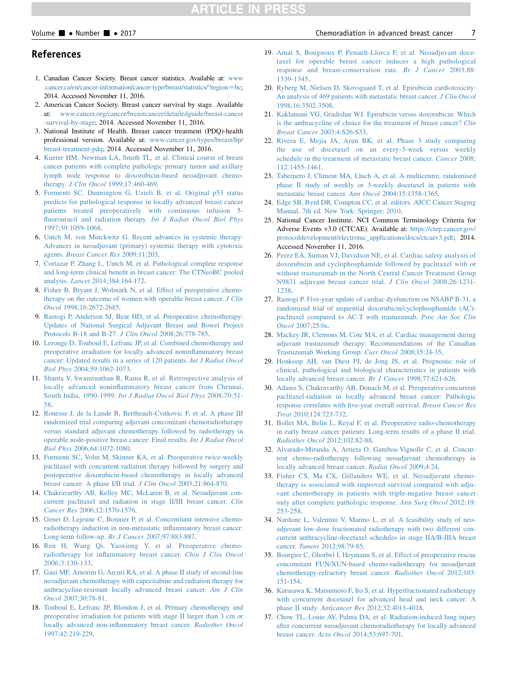#### <span id="page-6-0"></span>Volume  $\blacksquare$  • Number  $\blacksquare$  • 2017  $\blacksquare$

#### References

- 1. Canadian Cancer Society. Breast cancer statistics. Available at: [www](http://www.cancer.ca/en/cancer-information/cancer-type/breast/statistics/?region=bc) [.cancer.ca/en/cancer-information/cancer-type/breast/statistics/?region](http://www.cancer.ca/en/cancer-information/cancer-type/breast/statistics/?region=bc)=bc; 2014. Accessed November 11, 2016.
- 2. American Cancer Society. Breast cancer survival by stage. Available at: [www.cancer.org/cancer/breastcancer/detailedguide/breast-cancer](http://www.cancer.org/cancer/breastcancer/detailedguide/breast-cancer-survival-by-stage) [-survival-by-stage](http://www.cancer.org/cancer/breastcancer/detailedguide/breast-cancer-survival-by-stage); 2014. Accessed November 11, 2016.
- 3. National Institute of Health. Breast cancer treatment (PDQ)-health professional version. Available at: [www.cancer.gov/types/breast/hp/](http://www.cancer.gov/types/breast/hp/breast-treatment-pdq) [breast-treatment-pdq](http://www.cancer.gov/types/breast/hp/breast-treatment-pdq); 2014. Accessed November 11, 2016.
- 4. [Kuerer HM, Newman LA, Smith TL, et al. Clinical course of breast](http://refhub.elsevier.com/S0360-3016(17)31054-4/sref4) [cancer patients with complete pathologic primary tumor and axillary](http://refhub.elsevier.com/S0360-3016(17)31054-4/sref4) [lymph node response to doxorubicin-based neoadjuvant chemo](http://refhub.elsevier.com/S0360-3016(17)31054-4/sref4)therapy. J Clin Oncol [1999;17:460-469](http://refhub.elsevier.com/S0360-3016(17)31054-4/sref4).
- 5. [Formenti SC, Dunnington G, Uzieli B, et al. Original p53 status](http://refhub.elsevier.com/S0360-3016(17)31054-4/sref5) [predicts for pathological response in locally advanced breast cancer](http://refhub.elsevier.com/S0360-3016(17)31054-4/sref5) [patients treated preoperatively with continuous infusion 5](http://refhub.elsevier.com/S0360-3016(17)31054-4/sref5) [fluorouracil and radiation therapy.](http://refhub.elsevier.com/S0360-3016(17)31054-4/sref5) Int J Radiat Oncol Biol Phys [1997;39:1059-1068.](http://refhub.elsevier.com/S0360-3016(17)31054-4/sref5)
- 6. [Untch M, von Minckwitz G. Recent advances in systemic therapy:](http://refhub.elsevier.com/S0360-3016(17)31054-4/sref6) [Advances in neoadjuvant \(primary\) systemic therapy with cytotoxic](http://refhub.elsevier.com/S0360-3016(17)31054-4/sref6) agents. [Breast Cancer Res](http://refhub.elsevier.com/S0360-3016(17)31054-4/sref6) 2009;11:203.
- 7. [Cortazar P, Zhang L, Untch M, et al. Pathological complete response](http://refhub.elsevier.com/S0360-3016(17)31054-4/sref7) [and long-term clinical benefit in breast cancer: The CTNeoBC pooled](http://refhub.elsevier.com/S0360-3016(17)31054-4/sref7) analysis. Lancet [2014;384:164-172](http://refhub.elsevier.com/S0360-3016(17)31054-4/sref7).
- 8. [Fisher B, Bryant J, Wolmark N, et al. Effect of preoperative chemo](http://refhub.elsevier.com/S0360-3016(17)31054-4/sref8)[therapy on the outcome of women with operable breast cancer.](http://refhub.elsevier.com/S0360-3016(17)31054-4/sref8) J Clin Oncol [1998;16:2672-2685](http://refhub.elsevier.com/S0360-3016(17)31054-4/sref8).
- 9. [Rastogi P, Anderson SJ, Bear HD, et al. Preoperative chemotherapy:](http://refhub.elsevier.com/S0360-3016(17)31054-4/sref9) [Updates of National Surgical Adjuvant Breast and Bowel Project](http://refhub.elsevier.com/S0360-3016(17)31054-4/sref9) [Protocols B-18 and B-27.](http://refhub.elsevier.com/S0360-3016(17)31054-4/sref9) J Clin Oncol 2008;26:778-785.
- 10. [Lerouge D, Touboul E, Lefranc JP, et al. Combined chemotherapy and](http://refhub.elsevier.com/S0360-3016(17)31054-4/sref10) [preoperative irradiation for locally advanced noninflammatory breast](http://refhub.elsevier.com/S0360-3016(17)31054-4/sref10) [cancer: Updated results in a series of 120 patients.](http://refhub.elsevier.com/S0360-3016(17)31054-4/sref10) Int J Radiat Oncol Biol Phys [2004;59:1062-1073](http://refhub.elsevier.com/S0360-3016(17)31054-4/sref10).
- 11. [Shanta V, Swaminathan R, Rama R, et al. Retrospective analysis of](http://refhub.elsevier.com/S0360-3016(17)31054-4/sref11) [locally advanced noninflammatory breast cancer from Chennai,](http://refhub.elsevier.com/S0360-3016(17)31054-4/sref11) South India, 1990-1999. [Int J Radiat Oncol Biol Phys](http://refhub.elsevier.com/S0360-3016(17)31054-4/sref11) 2008;70:51- [58.](http://refhub.elsevier.com/S0360-3016(17)31054-4/sref11)
- 12. [Rouesse J, de la Lande B, Bertheault-Cvitkovic F, et al. A phase III](http://refhub.elsevier.com/S0360-3016(17)31054-4/sref12) [randomized trial comparing adjuvant concomitant chemoradiotherapy](http://refhub.elsevier.com/S0360-3016(17)31054-4/sref12) [versus standard adjuvant chemotherapy followed by radiotherapy in](http://refhub.elsevier.com/S0360-3016(17)31054-4/sref12) [operable node-positive breast cancer: Final results.](http://refhub.elsevier.com/S0360-3016(17)31054-4/sref12) Int J Radiat Oncol Biol Phys [2006;64:1072-1080](http://refhub.elsevier.com/S0360-3016(17)31054-4/sref12).
- 13. [Formenti SC, Volm M, Skinner KA, et al. Preoperative twice-weekly](http://refhub.elsevier.com/S0360-3016(17)31054-4/sref13) [paclitaxel with concurrent radiation therapy followed by surgery and](http://refhub.elsevier.com/S0360-3016(17)31054-4/sref13) [postoperative doxorubicin-based chemotherapy in locally advanced](http://refhub.elsevier.com/S0360-3016(17)31054-4/sref13) [breast cancer: A phase I/II trial.](http://refhub.elsevier.com/S0360-3016(17)31054-4/sref13) J Clin Oncol 2003;21:864-870.
- 14. [Chakravarthy AB, Kelley MC, McLaren B, et al. Neoadjuvant con](http://refhub.elsevier.com/S0360-3016(17)31054-4/sref14)[current paclitaxel and radiation in stage II/III breast cancer.](http://refhub.elsevier.com/S0360-3016(17)31054-4/sref14) Clin Cancer Res [2006;12:1570-1576.](http://refhub.elsevier.com/S0360-3016(17)31054-4/sref14)
- 15. [Genet D, Lejeune C, Bonnier P, et al. Concomitant intensive chemo](http://refhub.elsevier.com/S0360-3016(17)31054-4/sref15)[radiotherapy induction in non-metastatic inflammatory breast cancer:](http://refhub.elsevier.com/S0360-3016(17)31054-4/sref15) [Long-term follow-up.](http://refhub.elsevier.com/S0360-3016(17)31054-4/sref15) Br J Cancer 2007;97:883-887.
- 16. [Ren H, Wang Qi, Yaoxiong Y, et al. Preoperative chemo](http://refhub.elsevier.com/S0360-3016(17)31054-4/sref16)[radiotherapy for inflammatory breast cancer.](http://refhub.elsevier.com/S0360-3016(17)31054-4/sref16) Chin J Clin Oncol [2006;3:130-133.](http://refhub.elsevier.com/S0360-3016(17)31054-4/sref16)
- 17. [Gaui MF, Amorim G, Arcuri RA, et al. A phase II study of second-line](http://refhub.elsevier.com/S0360-3016(17)31054-4/sref17) [neoadjuvant chemotherapy with capecitabine and radiation therapy for](http://refhub.elsevier.com/S0360-3016(17)31054-4/sref17) [anthracycline-resistant locally advanced breast cancer.](http://refhub.elsevier.com/S0360-3016(17)31054-4/sref17) Am J Clin Oncol [2007;30:78-81.](http://refhub.elsevier.com/S0360-3016(17)31054-4/sref17)
- 18. [Touboul E, Lefranc JP, Blondon J, et al. Primary chemotherapy and](http://refhub.elsevier.com/S0360-3016(17)31054-4/sref18) [preoperative irradiation for patients with stage II larger than 3 cm or](http://refhub.elsevier.com/S0360-3016(17)31054-4/sref18) [locally advanced non-inflammatory breast cancer.](http://refhub.elsevier.com/S0360-3016(17)31054-4/sref18) Radiother Oncol [1997;42:219-229](http://refhub.elsevier.com/S0360-3016(17)31054-4/sref18).
- 19. [Amat S, Bougnoux P, Penault-Llorca F, et al. Neoadjuvant doce](http://refhub.elsevier.com/S0360-3016(17)31054-4/sref19)[taxel for operable breast cancer induces a high pathological](http://refhub.elsevier.com/S0360-3016(17)31054-4/sref19) [response and breast-conservation rate.](http://refhub.elsevier.com/S0360-3016(17)31054-4/sref19) Br J Cancer 2003;88: [1339-1345.](http://refhub.elsevier.com/S0360-3016(17)31054-4/sref19)
- 20. [Ryberg M, Nielsen D, Skovsgaard T, et al. Epirubicin cardiotoxicity:](http://refhub.elsevier.com/S0360-3016(17)31054-4/sref20) [An analysis of 469 patients with metastatic breast cancer.](http://refhub.elsevier.com/S0360-3016(17)31054-4/sref20) J Clin Oncol [1998;16:3502-3508](http://refhub.elsevier.com/S0360-3016(17)31054-4/sref20).
- 21. [Kaklamani VG, Gradishar WJ. Epirubicin versus doxorubicin: Which](http://refhub.elsevier.com/S0360-3016(17)31054-4/sref21) [is the anthracycline of choice for the treatment of breast cancer?](http://refhub.elsevier.com/S0360-3016(17)31054-4/sref21) Clin Breast Cancer [2003;4:S26-S33.](http://refhub.elsevier.com/S0360-3016(17)31054-4/sref21)
- 22. [Rivera E, Mejia JA, Arun BK, et al. Phase 3 study comparing](http://refhub.elsevier.com/S0360-3016(17)31054-4/sref22) [the use of docetaxel on an every-3-week versus weekly](http://refhub.elsevier.com/S0360-3016(17)31054-4/sref22) [schedule in the treatment of metastatic breast cancer.](http://refhub.elsevier.com/S0360-3016(17)31054-4/sref22) Cancer 2008; [112:1455-1461](http://refhub.elsevier.com/S0360-3016(17)31054-4/sref22).
- 23. [Tabernero J, Climent MA, Lluch A, et al. A multicentre, randomised](http://refhub.elsevier.com/S0360-3016(17)31054-4/sref23) [phase II study of weekly or 3-weekly docetaxel in patients with](http://refhub.elsevier.com/S0360-3016(17)31054-4/sref23) [metastatic breast cancer.](http://refhub.elsevier.com/S0360-3016(17)31054-4/sref23) Ann Oncol 2004;15:1358-1365.
- 24. [Edge SB, Byrd DR, Compton CC, et al. editors. AJCC Cancer Staging](http://refhub.elsevier.com/S0360-3016(17)31054-4/sref24) [Manual. 7th ed. New York: Springer; 2010.](http://refhub.elsevier.com/S0360-3016(17)31054-4/sref24)
- 25. National Cancer Institute. NCI Common Terminology Criteria for Adverse Events v3.0 (CTCAE). Available at: [https://ctep.cancer.gov/](https://ctep.cancer.gov/protocoldevelopment/electronic_applications/docs/ctcaev3.pdf) [protocoldevelopment/electronic\\_applications/docs/ctcaev3.pdf](https://ctep.cancer.gov/protocoldevelopment/electronic_applications/docs/ctcaev3.pdf); 2014. Accessed November 11, 2016.
- 26. [Perez EA, Suman VJ, Davidson NE, et al. Cardiac safety analysis of](http://refhub.elsevier.com/S0360-3016(17)31054-4/sref26) [doxorubicin and cyclophosphamide followed by paclitaxel with or](http://refhub.elsevier.com/S0360-3016(17)31054-4/sref26) [without trastuzumab in the North Central Cancer Treatment Group](http://refhub.elsevier.com/S0360-3016(17)31054-4/sref26) [N9831 adjuvant breast cancer trial.](http://refhub.elsevier.com/S0360-3016(17)31054-4/sref26) J Clin Oncol 2008;26:1231-[1238](http://refhub.elsevier.com/S0360-3016(17)31054-4/sref26).
- 27. [Rastogi P. Five-year update of cardiac dysfunction on NSABP B-31, a](http://refhub.elsevier.com/S0360-3016(17)31054-4/sref27) [randomized trial of sequential doxorubicin/cyclophosphamide \(AC\)](http://refhub.elsevier.com/S0360-3016(17)31054-4/sref27) [paclitaxel compared to AC-T with trastuzumab.](http://refhub.elsevier.com/S0360-3016(17)31054-4/sref27) Proc Am Soc Clin Oncol [2007;25:6s](http://refhub.elsevier.com/S0360-3016(17)31054-4/sref27).
- 28. [Mackey JR, Clemons M, Cote MA, et al. Cardiac management during](http://refhub.elsevier.com/S0360-3016(17)31054-4/sref28) [adjuvant trastuzumab therapy: Recommendations of the Canadian](http://refhub.elsevier.com/S0360-3016(17)31054-4/sref28) [Trastuzumab Working Group.](http://refhub.elsevier.com/S0360-3016(17)31054-4/sref28) Curr Oncol 2008;15:24-35.
- 29. [Honkoop AH, van Diest PJ, de Jong JS, et al. Prognostic role of](http://refhub.elsevier.com/S0360-3016(17)31054-4/sref29) [clinical, pathological and biological characteristics in patients with](http://refhub.elsevier.com/S0360-3016(17)31054-4/sref29) [locally advanced breast cancer.](http://refhub.elsevier.com/S0360-3016(17)31054-4/sref29) Br J Cancer 1998;77:621-626.
- 30. [Adams S, Chakravarthy AB, Donach M, et al. Preoperative concurrent](http://refhub.elsevier.com/S0360-3016(17)31054-4/sref30) [paclitaxel-radiation in locally advanced breast cancer: Pathologic](http://refhub.elsevier.com/S0360-3016(17)31054-4/sref30) [response correlates with five-year overall survival.](http://refhub.elsevier.com/S0360-3016(17)31054-4/sref30) Breast Cancer Res Treat [2010;124:723-732.](http://refhub.elsevier.com/S0360-3016(17)31054-4/sref30)
- 31. [Bollet MA, Belin L, Reyal F, et al. Preoperative radio-chemotherapy](http://refhub.elsevier.com/S0360-3016(17)31054-4/sref31) [in early breast cancer patients: Long-term results of a phase II trial.](http://refhub.elsevier.com/S0360-3016(17)31054-4/sref31) [Radiother Oncol](http://refhub.elsevier.com/S0360-3016(17)31054-4/sref31) 2012;102:82-88.
- 32. [Alvarado-Miranda A, Arrieta O, Gamboa-Vignolle C, et al. Concur](http://refhub.elsevier.com/S0360-3016(17)31054-4/sref32)[rent chemo-radiotherapy following neoadjuvant chemotherapy in](http://refhub.elsevier.com/S0360-3016(17)31054-4/sref32) [locally advanced breast cancer.](http://refhub.elsevier.com/S0360-3016(17)31054-4/sref32) Radiat Oncol 2009;4:24.
- 33. [Fisher CS, Ma CX, Gillanders WE, et al. Neoadjuvant chemo](http://refhub.elsevier.com/S0360-3016(17)31054-4/sref33)[therapy is associated with improved survival compared with adju](http://refhub.elsevier.com/S0360-3016(17)31054-4/sref33)[vant chemotherapy in patients with triple-negative breast cancer](http://refhub.elsevier.com/S0360-3016(17)31054-4/sref33) [only after complete pathologic response.](http://refhub.elsevier.com/S0360-3016(17)31054-4/sref33) Ann Surg Oncol 2012;19: [253-258](http://refhub.elsevier.com/S0360-3016(17)31054-4/sref33).
- 34. [Nardone L, Valentini V, Marino L, et al. A feasibility study of neo](http://refhub.elsevier.com/S0360-3016(17)31054-4/sref34)[adjuvant low-dose fractionated radiotherapy with two different con](http://refhub.elsevier.com/S0360-3016(17)31054-4/sref34)[current anthracycline-docetaxel schedules in stage IIA/B-IIIA breast](http://refhub.elsevier.com/S0360-3016(17)31054-4/sref34) cancer. Tumori [2012;98:79-85](http://refhub.elsevier.com/S0360-3016(17)31054-4/sref34).
- 35. [Bourgier C, Ghorbel I, Heymann S, et al. Effect of preoperative rescue](http://refhub.elsevier.com/S0360-3016(17)31054-4/sref35) [concomitant FUN/XUN-based chemo-radiotherapy for neoadjuvant](http://refhub.elsevier.com/S0360-3016(17)31054-4/sref35) [chemotherapy-refractory breast cancer.](http://refhub.elsevier.com/S0360-3016(17)31054-4/sref35) Radiother Oncol 2012;103: [151-154](http://refhub.elsevier.com/S0360-3016(17)31054-4/sref35).
- 36. [Karasawa K, Matsumoto F, Ito S, et al. Hyperfractionated radiotherapy](http://refhub.elsevier.com/S0360-3016(17)31054-4/sref36) [with concurrent docetaxel for advanced head and neck cancer: A](http://refhub.elsevier.com/S0360-3016(17)31054-4/sref36) phase II study. Anticancer Res [2012;32:4013-4018](http://refhub.elsevier.com/S0360-3016(17)31054-4/sref36).
- 37. [Chow TL, Louie AV, Palma DA, et al. Radiation-induced lung injury](http://refhub.elsevier.com/S0360-3016(17)31054-4/sref37) [after concurrent neoadjuvant chemoradiotherapy for locally advanced](http://refhub.elsevier.com/S0360-3016(17)31054-4/sref37) breast cancer. Acta Oncol [2014;53:697-701.](http://refhub.elsevier.com/S0360-3016(17)31054-4/sref37)